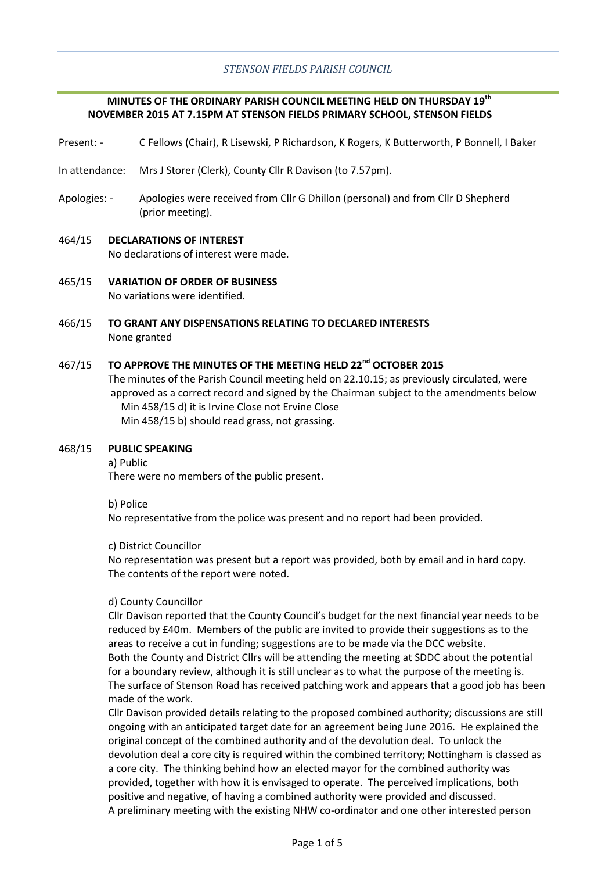# *STENSON FIELDS PARISH COUNCIL*

# **MINUTES OF THE ORDINARY PARISH COUNCIL MEETING HELD ON THURSDAY 19th NOVEMBER 2015 AT 7.15PM AT STENSON FIELDS PRIMARY SCHOOL, STENSON FIELDS**

- Present: C Fellows (Chair), R Lisewski, P Richardson, K Rogers, K Butterworth, P Bonnell, I Baker
- In attendance: Mrs J Storer (Clerk), County Cllr R Davison (to 7.57pm).
- Apologies: Apologies were received from Cllr G Dhillon (personal) and from Cllr D Shepherd (prior meeting).

#### 464/15 **DECLARATIONS OF INTEREST**

No declarations of interest were made.

- 465/15 **VARIATION OF ORDER OF BUSINESS** No variations were identified.
- 466/15 **TO GRANT ANY DISPENSATIONS RELATING TO DECLARED INTERESTS** None granted

#### 467/15 **TO APPROVE THE MINUTES OF THE MEETING HELD 22nd OCTOBER 2015**

The minutes of the Parish Council meeting held on 22.10.15; as previously circulated, were approved as a correct record and signed by the Chairman subject to the amendments below Min 458/15 d) it is Irvine Close not Ervine Close Min 458/15 b) should read grass, not grassing.

#### 468/15 **PUBLIC SPEAKING**

a) Public

There were no members of the public present.

b) Police

No representative from the police was present and no report had been provided.

#### c) District Councillor

No representation was present but a report was provided, both by email and in hard copy. The contents of the report were noted.

#### d) County Councillor

Cllr Davison reported that the County Council's budget for the next financial year needs to be reduced by £40m. Members of the public are invited to provide their suggestions as to the areas to receive a cut in funding; suggestions are to be made via the DCC website. Both the County and District Cllrs will be attending the meeting at SDDC about the potential for a boundary review, although it is still unclear as to what the purpose of the meeting is. The surface of Stenson Road has received patching work and appears that a good job has been made of the work.

Cllr Davison provided details relating to the proposed combined authority; discussions are still ongoing with an anticipated target date for an agreement being June 2016. He explained the original concept of the combined authority and of the devolution deal. To unlock the devolution deal a core city is required within the combined territory; Nottingham is classed as a core city. The thinking behind how an elected mayor for the combined authority was provided, together with how it is envisaged to operate. The perceived implications, both positive and negative, of having a combined authority were provided and discussed. A preliminary meeting with the existing NHW co-ordinator and one other interested person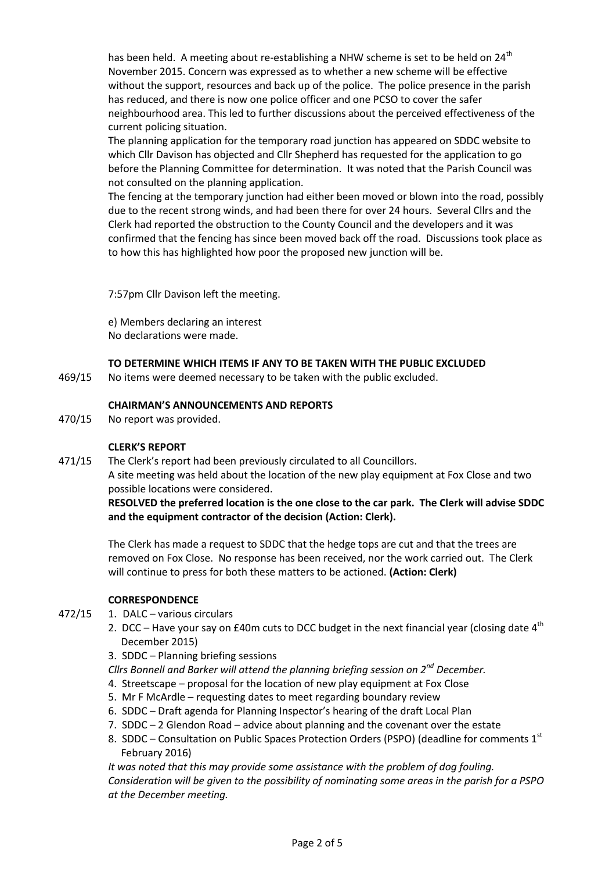has been held. A meeting about re-establishing a NHW scheme is set to be held on  $24^{\text{th}}$ November 2015. Concern was expressed as to whether a new scheme will be effective without the support, resources and back up of the police. The police presence in the parish has reduced, and there is now one police officer and one PCSO to cover the safer neighbourhood area. This led to further discussions about the perceived effectiveness of the current policing situation.

The planning application for the temporary road junction has appeared on SDDC website to which Cllr Davison has objected and Cllr Shepherd has requested for the application to go before the Planning Committee for determination. It was noted that the Parish Council was not consulted on the planning application.

The fencing at the temporary junction had either been moved or blown into the road, possibly due to the recent strong winds, and had been there for over 24 hours. Several Cllrs and the Clerk had reported the obstruction to the County Council and the developers and it was confirmed that the fencing has since been moved back off the road. Discussions took place as to how this has highlighted how poor the proposed new junction will be.

7:57pm Cllr Davison left the meeting.

e) Members declaring an interest No declarations were made.

# **TO DETERMINE WHICH ITEMS IF ANY TO BE TAKEN WITH THE PUBLIC EXCLUDED**

469/15 No items were deemed necessary to be taken with the public excluded.

## **CHAIRMAN'S ANNOUNCEMENTS AND REPORTS**

470/15 No report was provided.

## **CLERK'S REPORT**

471/15 The Clerk's report had been previously circulated to all Councillors. A site meeting was held about the location of the new play equipment at Fox Close and two possible locations were considered.

# **RESOLVED the preferred location is the one close to the car park. The Clerk will advise SDDC and the equipment contractor of the decision (Action: Clerk).**

The Clerk has made a request to SDDC that the hedge tops are cut and that the trees are removed on Fox Close. No response has been received, nor the work carried out. The Clerk will continue to press for both these matters to be actioned. **(Action: Clerk)**

## **CORRESPONDENCE**

- 472/15 1. DALC – various circulars
	- 2. DCC Have your say on £40m cuts to DCC budget in the next financial year (closing date  $4^{th}$ December 2015)
	- 3. SDDC Planning briefing sessions
	- *Cllrs Bonnell and Barker will attend the planning briefing session on 2nd December.*
	- 4. Streetscape proposal for the location of new play equipment at Fox Close
	- 5. Mr F McArdle requesting dates to meet regarding boundary review
	- 6. SDDC Draft agenda for Planning Inspector's hearing of the draft Local Plan
	- 7. SDDC 2 Glendon Road advice about planning and the covenant over the estate
	- 8. SDDC Consultation on Public Spaces Protection Orders (PSPO) (deadline for comments  $1<sup>st</sup>$ February 2016)

*It was noted that this may provide some assistance with the problem of dog fouling. Consideration will be given to the possibility of nominating some areas in the parish for a PSPO at the December meeting.*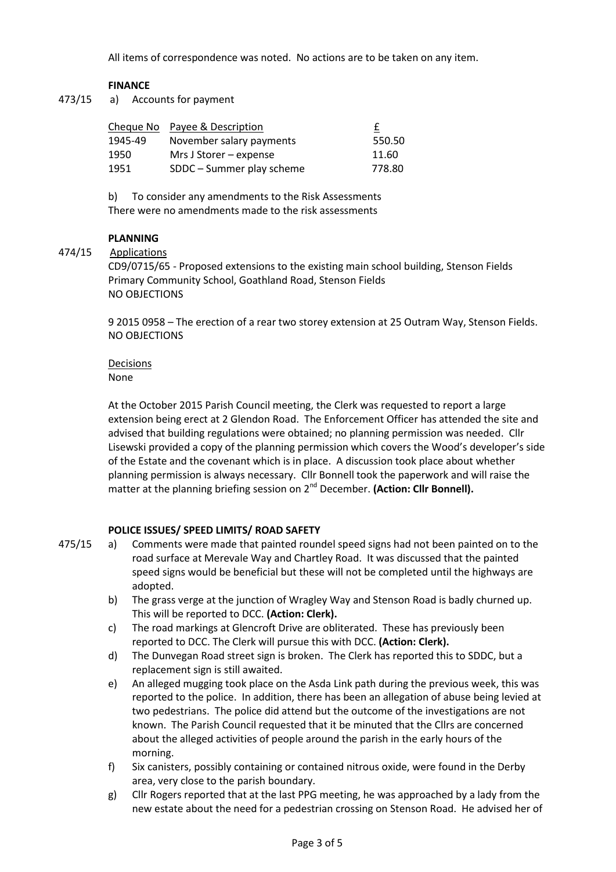All items of correspondence was noted. No actions are to be taken on any item.

## **FINANCE**

473/15 a) Accounts for payment

|         | Cheque No Payee & Description | f      |
|---------|-------------------------------|--------|
| 1945-49 | November salary payments      | 550.50 |
| 1950    | Mrs J Storer – expense        | 11.60  |
| 1951    | SDDC – Summer play scheme     | 778.80 |

b) To consider any amendments to the Risk Assessments There were no amendments made to the risk assessments

## **PLANNING**

#### 474/15 **Applications**

CD9/0715/65 - Proposed extensions to the existing main school building, Stenson Fields Primary Community School, Goathland Road, Stenson Fields NO OBJECTIONS

9 2015 0958 – The erection of a rear two storey extension at 25 Outram Way, Stenson Fields. NO OBJECTIONS

#### Decisions None

At the October 2015 Parish Council meeting, the Clerk was requested to report a large extension being erect at 2 Glendon Road. The Enforcement Officer has attended the site and advised that building regulations were obtained; no planning permission was needed. Cllr Lisewski provided a copy of the planning permission which covers the Wood's developer's side of the Estate and the covenant which is in place. A discussion took place about whether planning permission is always necessary. Cllr Bonnell took the paperwork and will raise the matter at the planning briefing session on 2<sup>nd</sup> December. (Action: Cllr Bonnell).

## **POLICE ISSUES/ SPEED LIMITS/ ROAD SAFETY**

- 475/15 a) Comments were made that painted roundel speed signs had not been painted on to the road surface at Merevale Way and Chartley Road. It was discussed that the painted speed signs would be beneficial but these will not be completed until the highways are adopted.
	- b) The grass verge at the junction of Wragley Way and Stenson Road is badly churned up. This will be reported to DCC. **(Action: Clerk).**
	- c) The road markings at Glencroft Drive are obliterated. These has previously been reported to DCC. The Clerk will pursue this with DCC. **(Action: Clerk).**
	- d) The Dunvegan Road street sign is broken. The Clerk has reported this to SDDC, but a replacement sign is still awaited.
	- e) An alleged mugging took place on the Asda Link path during the previous week, this was reported to the police. In addition, there has been an allegation of abuse being levied at two pedestrians. The police did attend but the outcome of the investigations are not known. The Parish Council requested that it be minuted that the Cllrs are concerned about the alleged activities of people around the parish in the early hours of the morning.
	- f) Six canisters, possibly containing or contained nitrous oxide, were found in the Derby area, very close to the parish boundary.
	- g) Cllr Rogers reported that at the last PPG meeting, he was approached by a lady from the new estate about the need for a pedestrian crossing on Stenson Road. He advised her of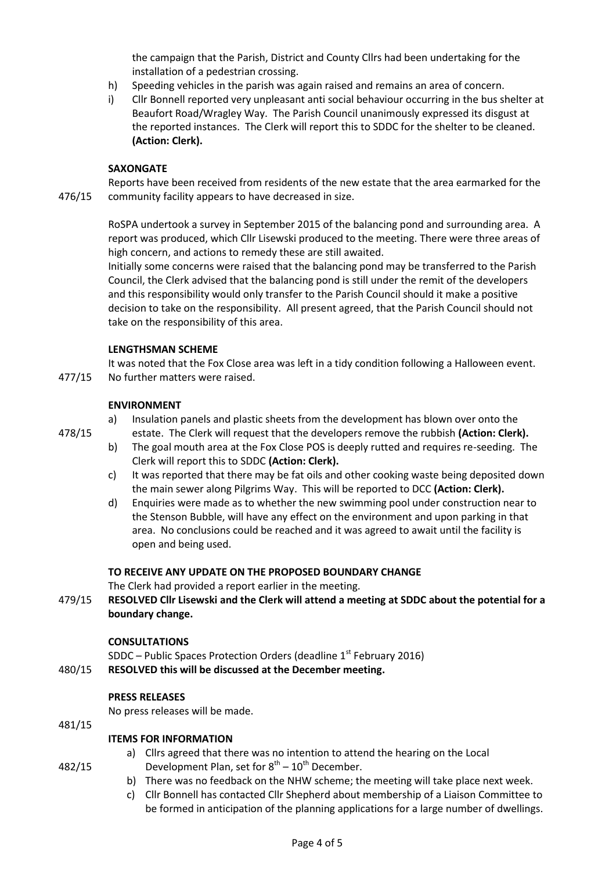the campaign that the Parish, District and County Cllrs had been undertaking for the installation of a pedestrian crossing.

- h) Speeding vehicles in the parish was again raised and remains an area of concern.
- i) Cllr Bonnell reported very unpleasant anti social behaviour occurring in the bus shelter at Beaufort Road/Wragley Way. The Parish Council unanimously expressed its disgust at the reported instances. The Clerk will report this to SDDC for the shelter to be cleaned. **(Action: Clerk).**

## **SAXONGATE**

476/15 Reports have been received from residents of the new estate that the area earmarked for the community facility appears to have decreased in size.

> RoSPA undertook a survey in September 2015 of the balancing pond and surrounding area. A report was produced, which Cllr Lisewski produced to the meeting. There were three areas of high concern, and actions to remedy these are still awaited.

Initially some concerns were raised that the balancing pond may be transferred to the Parish Council, the Clerk advised that the balancing pond is still under the remit of the developers and this responsibility would only transfer to the Parish Council should it make a positive decision to take on the responsibility. All present agreed, that the Parish Council should not take on the responsibility of this area.

# **LENGTHSMAN SCHEME**

477/15 It was noted that the Fox Close area was left in a tidy condition following a Halloween event. No further matters were raised.

# **ENVIRONMENT**

478/15

a) Insulation panels and plastic sheets from the development has blown over onto the estate. The Clerk will request that the developers remove the rubbish **(Action: Clerk).**

- b) The goal mouth area at the Fox Close POS is deeply rutted and requires re-seeding. The Clerk will report this to SDDC **(Action: Clerk).**
- c) It was reported that there may be fat oils and other cooking waste being deposited down the main sewer along Pilgrims Way. This will be reported to DCC **(Action: Clerk).**
- d) Enquiries were made as to whether the new swimming pool under construction near to the Stenson Bubble, will have any effect on the environment and upon parking in that area. No conclusions could be reached and it was agreed to await until the facility is open and being used.

# **TO RECEIVE ANY UPDATE ON THE PROPOSED BOUNDARY CHANGE**

The Clerk had provided a report earlier in the meeting.

479/15 **RESOLVED Cllr Lisewski and the Clerk will attend a meeting at SDDC about the potential for a boundary change.**

## **CONSULTATIONS**

480/15 SDDC – Public Spaces Protection Orders (deadline 1<sup>st</sup> February 2016) **RESOLVED this will be discussed at the December meeting.**

# **PRESS RELEASES**

No press releases will be made.

#### 481/15 **ITEMS FOR INFORMATION**

482/15

- a) Cllrs agreed that there was no intention to attend the hearing on the Local Development Plan, set for  $8^{th} - 10^{th}$  December.
- b) There was no feedback on the NHW scheme; the meeting will take place next week.
- c) Cllr Bonnell has contacted Cllr Shepherd about membership of a Liaison Committee to be formed in anticipation of the planning applications for a large number of dwellings.